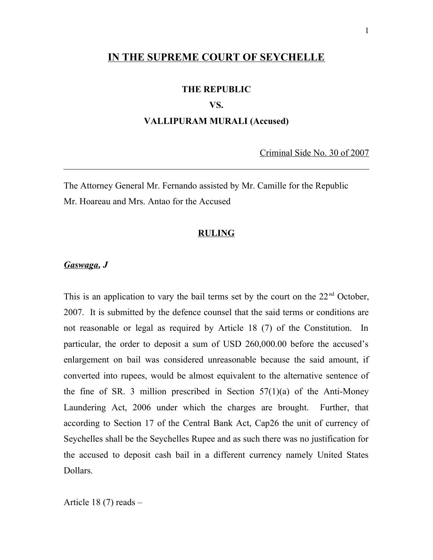# **IN THE SUPREME COURT OF SEYCHELLE**

#### **THE REPUBLIC**

### **VS.**

## **VALLIPURAM MURALI (Accused)**

Criminal Side No. 30 of 2007

The Attorney General Mr. Fernando assisted by Mr. Camille for the Republic Mr. Hoareau and Mrs. Antao for the Accused

#### **RULING**

#### *Gaswaga, J*

This is an application to vary the bail terms set by the court on the  $22<sup>nd</sup>$  October, 2007. It is submitted by the defence counsel that the said terms or conditions are not reasonable or legal as required by Article 18 (7) of the Constitution. In particular, the order to deposit a sum of USD 260,000.00 before the accused's enlargement on bail was considered unreasonable because the said amount, if converted into rupees, would be almost equivalent to the alternative sentence of the fine of SR. 3 million prescribed in Section  $57(1)(a)$  of the Anti-Money Laundering Act, 2006 under which the charges are brought. Further, that according to Section 17 of the Central Bank Act, Cap26 the unit of currency of Seychelles shall be the Seychelles Rupee and as such there was no justification for the accused to deposit cash bail in a different currency namely United States Dollars.

Article 18 (7) reads –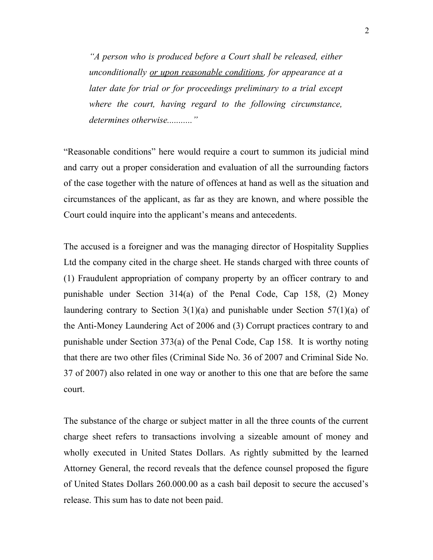*"A person who is produced before a Court shall be released, either unconditionally or upon reasonable conditions, for appearance at a later date for trial or for proceedings preliminary to a trial except where the court, having regard to the following circumstance, determines otherwise..........."*

"Reasonable conditions" here would require a court to summon its judicial mind and carry out a proper consideration and evaluation of all the surrounding factors of the case together with the nature of offences at hand as well as the situation and circumstances of the applicant, as far as they are known, and where possible the Court could inquire into the applicant's means and antecedents.

The accused is a foreigner and was the managing director of Hospitality Supplies Ltd the company cited in the charge sheet. He stands charged with three counts of (1) Fraudulent appropriation of company property by an officer contrary to and punishable under Section 314(a) of the Penal Code, Cap 158, (2) Money laundering contrary to Section  $3(1)(a)$  and punishable under Section  $57(1)(a)$  of the Anti-Money Laundering Act of 2006 and (3) Corrupt practices contrary to and punishable under Section 373(a) of the Penal Code, Cap 158. It is worthy noting that there are two other files (Criminal Side No. 36 of 2007 and Criminal Side No. 37 of 2007) also related in one way or another to this one that are before the same court.

The substance of the charge or subject matter in all the three counts of the current charge sheet refers to transactions involving a sizeable amount of money and wholly executed in United States Dollars. As rightly submitted by the learned Attorney General, the record reveals that the defence counsel proposed the figure of United States Dollars 260.000.00 as a cash bail deposit to secure the accused's release. This sum has to date not been paid.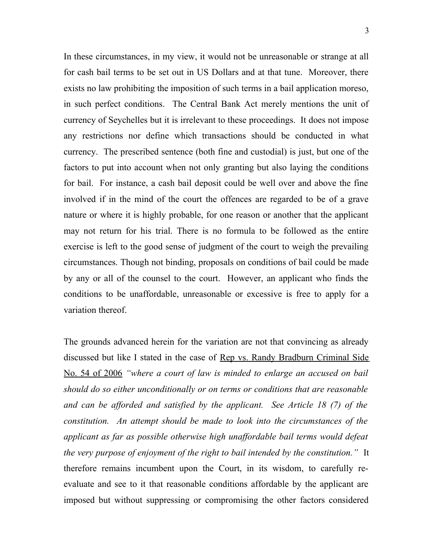In these circumstances, in my view, it would not be unreasonable or strange at all for cash bail terms to be set out in US Dollars and at that tune. Moreover, there exists no law prohibiting the imposition of such terms in a bail application moreso, in such perfect conditions. The Central Bank Act merely mentions the unit of currency of Seychelles but it is irrelevant to these proceedings. It does not impose any restrictions nor define which transactions should be conducted in what currency. The prescribed sentence (both fine and custodial) is just, but one of the factors to put into account when not only granting but also laying the conditions for bail. For instance, a cash bail deposit could be well over and above the fine involved if in the mind of the court the offences are regarded to be of a grave nature or where it is highly probable, for one reason or another that the applicant may not return for his trial. There is no formula to be followed as the entire exercise is left to the good sense of judgment of the court to weigh the prevailing circumstances. Though not binding, proposals on conditions of bail could be made by any or all of the counsel to the court. However, an applicant who finds the conditions to be unaffordable, unreasonable or excessive is free to apply for a variation thereof.

The grounds advanced herein for the variation are not that convincing as already discussed but like I stated in the case of <u>Rep vs. Randy Bradburn Criminal Side</u> No. 54 of 2006 *"where a court of law is minded to enlarge an accused on bail should do so either unconditionally or on terms or conditions that are reasonable and can be afforded and satisfied by the applicant. See Article 18 (7) of the constitution. An attempt should be made to look into the circumstances of the applicant as far as possible otherwise high unaffordable bail terms would defeat the very purpose of enjoyment of the right to bail intended by the constitution."* It therefore remains incumbent upon the Court, in its wisdom, to carefully reevaluate and see to it that reasonable conditions affordable by the applicant are imposed but without suppressing or compromising the other factors considered